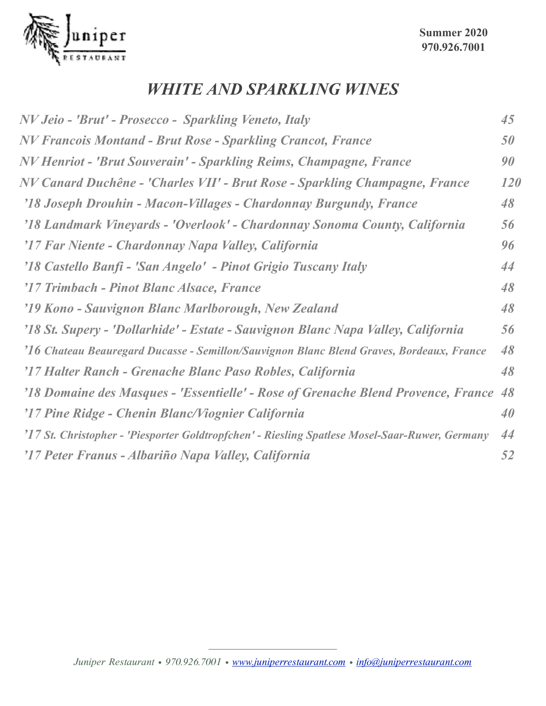

#### *WHITE AND SPARKLING WINES*

| NV Jeio - 'Brut' - Prosecco - Sparkling Veneto, Italy                                          | 45         |
|------------------------------------------------------------------------------------------------|------------|
| <b>NV Francois Montand - Brut Rose - Sparkling Crancot, France</b>                             | 50         |
| NV Henriot - 'Brut Souverain' - Sparkling Reims, Champagne, France                             | 90         |
| NV Canard Duchêne - 'Charles VII' - Brut Rose - Sparkling Champagne, France                    | <b>120</b> |
| '18 Joseph Drouhin - Macon-Villages - Chardonnay Burgundy, France                              | 48         |
| '18 Landmark Vineyards - 'Overlook' - Chardonnay Sonoma County, California                     | 56         |
| '17 Far Niente - Chardonnay Napa Valley, California                                            | 96         |
| '18 Castello Banfi - 'San Angelo' - Pinot Grigio Tuscany Italy                                 | 44         |
| '17 Trimbach - Pinot Blanc Alsace, France                                                      | 48         |
| '19 Kono - Sauvignon Blanc Marlborough, New Zealand                                            | 48         |
| '18 St. Supery - 'Dollarhide' - Estate - Sauvignon Blanc Napa Valley, California               | 56         |
| '16 Chateau Beauregard Ducasse - Semillon/Sauvignon Blanc Blend Graves, Bordeaux, France       | 48         |
| '17 Halter Ranch - Grenache Blanc Paso Robles, California                                      | 48         |
| '18 Domaine des Masques - 'Essentielle' - Rose of Grenache Blend Provence, France 48           |            |
| '17 Pine Ridge - Chenin Blanc/Viognier California                                              | 40         |
| '17 St. Christopher - 'Piesporter Goldtropfchen' - Riesling Spatlese Mosel-Saar-Ruwer, Germany | 44         |
| '17 Peter Franus - Albariño Napa Valley, California                                            | 52         |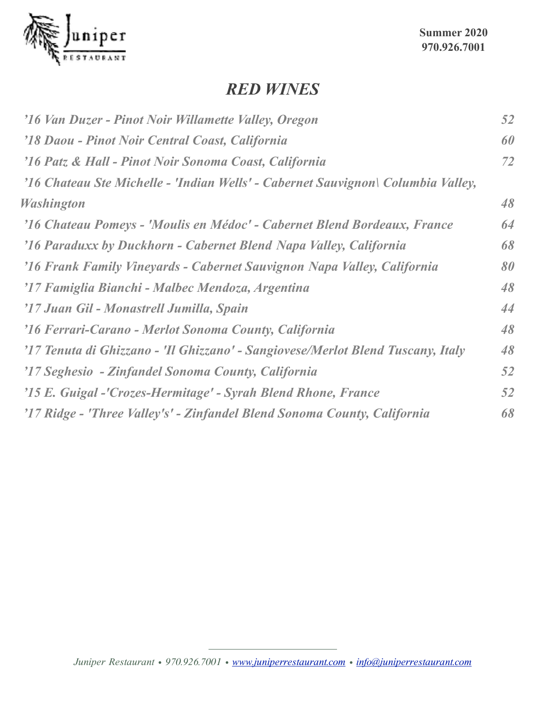

#### *RED WINES*

| '16 Van Duzer - Pinot Noir Willamette Valley, Oregon                             | 52 |
|----------------------------------------------------------------------------------|----|
| '18 Daou - Pinot Noir Central Coast, California                                  | 60 |
| '16 Patz & Hall - Pinot Noir Sonoma Coast, California                            | 72 |
| '16 Chateau Ste Michelle - 'Indian Wells' - Cabernet Sauvignon\ Columbia Valley, |    |
| <b>Washington</b>                                                                | 48 |
| '16 Chateau Pomeys - 'Moulis en Médoc' - Cabernet Blend Bordeaux, France         | 64 |
| '16 Paraduxx by Duckhorn - Cabernet Blend Napa Valley, California                | 68 |
| '16 Frank Family Vineyards - Cabernet Sauvignon Napa Valley, California          | 80 |
| '17 Famiglia Bianchi - Malbec Mendoza, Argentina                                 | 48 |
| '17 Juan Gil - Monastrell Jumilla, Spain                                         | 44 |
| '16 Ferrari-Carano - Merlot Sonoma County, California                            | 48 |
| '17 Tenuta di Ghizzano - 'Il Ghizzano' - Sangiovese/Merlot Blend Tuscany, Italy  | 48 |
| '17 Seghesio - Zinfandel Sonoma County, California                               | 52 |
| '15 E. Guigal -'Crozes-Hermitage' - Syrah Blend Rhone, France                    | 52 |
| '17 Ridge - 'Three Valley's' - Zinfandel Blend Sonoma County, California         | 68 |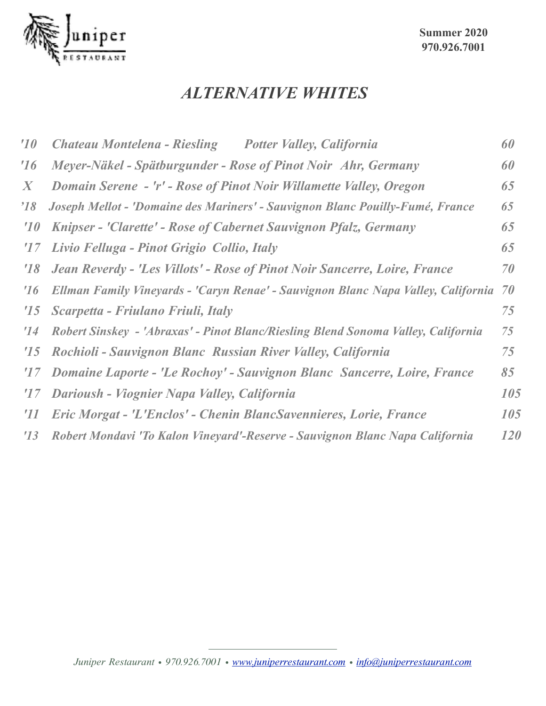

### *ALTERNATIVE WHITES*

| $10^{\circ}$  | <b>Chateau Montelena - Riesling</b><br><b>Potter Valley, California</b>              | 60  |
|---------------|--------------------------------------------------------------------------------------|-----|
| 16            | Meyer-Näkel - Spätburgunder - Rose of Pinot Noir Ahr, Germany                        | 60  |
| X             | Domain Serene - 'r' - Rose of Pinot Noir Willamette Valley, Oregon                   | 65  |
| $^{\prime}18$ | Joseph Mellot - 'Domaine des Mariners' - Sauvignon Blanc Pouilly-Fumé, France        | 65  |
| 10            | Knipser - 'Clarette' - Rose of Cabernet Sauvignon Pfalz, Germany                     | 65  |
| 17            | Livio Felluga - Pinot Grigio Collio, Italy                                           | 65  |
| 18            | Jean Reverdy - 'Les Villots' - Rose of Pinot Noir Sancerre, Loire, France            | 70  |
| 16            | Ellman Family Vineyards - 'Caryn Renae' - Sauvignon Blanc Napa Valley, California 70 |     |
| $^{\prime}15$ | Scarpetta - Friulano Friuli, Italy                                                   | 75  |
| $^{\prime}14$ | Robert Sinskey - 'Abraxas' - Pinot Blanc/Riesling Blend Sonoma Valley, California    | 75  |
| $^{\prime}15$ | Rochioli - Sauvignon Blanc Russian River Valley, California                          | 75  |
| 17            | Domaine Laporte - 'Le Rochoy' - Sauvignon Blanc Sancerre, Loire, France              | 85  |
| 17            | Darioush - Viognier Napa Valley, California                                          | 105 |
| $^{\prime}11$ | Eric Morgat - 'L'Enclos' - Chenin BlancSavennieres, Lorie, France                    | 105 |
| 13            | Robert Mondavi 'To Kalon Vineyard'-Reserve - Sauvignon Blanc Napa California         | 120 |
|               |                                                                                      |     |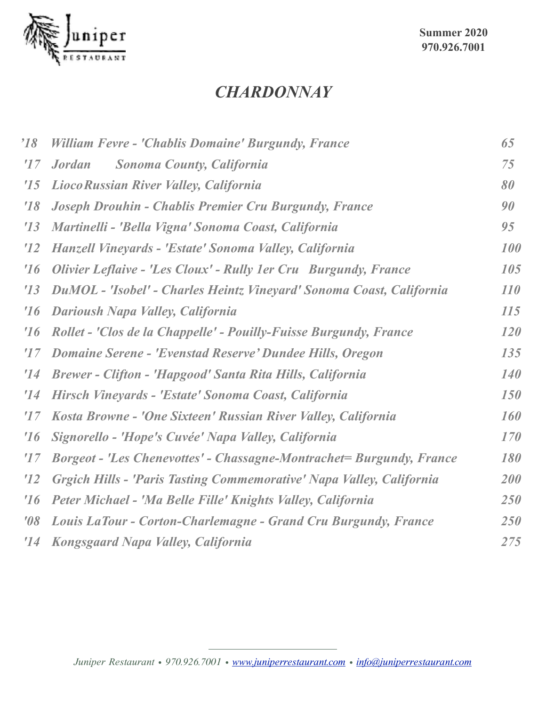

**Summer 2020 970.926.7001**

### *CHARDONNAY*

| $^{\prime}18$ | William Fevre - 'Chablis Domaine' Burgundy, France                    | 65         |
|---------------|-----------------------------------------------------------------------|------------|
| $^{\prime}17$ | <b>Sonoma County, California</b><br><b>Jordan</b>                     | 75         |
| '15           | Lioco Russian River Valley, California                                | 80         |
| 18            | Joseph Drouhin - Chablis Premier Cru Burgundy, France                 | 90         |
| '13           | Martinelli - 'Bella Vigna' Sonoma Coast, California                   | 95         |
| 12            | Hanzell Vineyards - 'Estate' Sonoma Valley, California                | 100        |
| 16            | Olivier Leflaive - 'Les Cloux' - Rully 1 er Cru Burgundy, France      | 105        |
| 13            | DuMOL - 'Isobel' - Charles Heintz Vineyard' Sonoma Coast, California  | <i>110</i> |
| 16            | Darioush Napa Valley, California                                      | 115        |
| 16            | Rollet - 'Clos de la Chappelle' - Pouilly-Fuisse Burgundy, France     | <b>120</b> |
| 17            | <b>Domaine Serene - 'Evenstad Reserve' Dundee Hills, Oregon</b>       | 135        |
| '14           | Brewer - Clifton - 'Hapgood' Santa Rita Hills, California             | <b>140</b> |
| '14           | Hirsch Vineyards - 'Estate' Sonoma Coast, California                  | <i>150</i> |
| 17            | Kosta Browne - 'One Sixteen' Russian River Valley, California         | 160        |
| 16            | Signorello - 'Hope's Cuvée' Napa Valley, California                   | 170        |
| $^{\prime}17$ | Borgeot - 'Les Chenevottes' - Chassagne-Montrachet = Burgundy, France | 180        |
| 12            | Grgich Hills - 'Paris Tasting Commemorative' Napa Valley, California  | <b>200</b> |
| 16            | Peter Michael - 'Ma Belle Fille' Knights Valley, California           | <b>250</b> |
| $\theta$      | Louis LaTour - Corton-Charlemagne - Grand Cru Burgundy, France        | 250        |
| 14            | Kongsgaard Napa Valley, California                                    | 275        |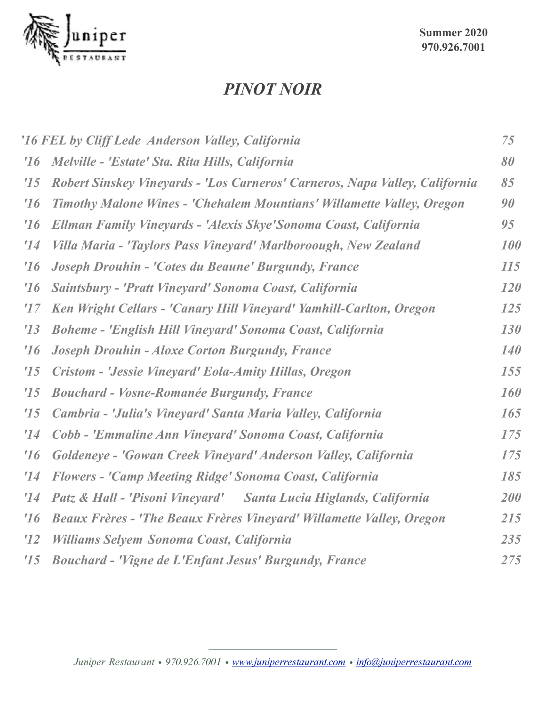

#### *PINOT NOIR*

|               | '16 FEL by Cliff Lede Anderson Valley, California                           | 75         |
|---------------|-----------------------------------------------------------------------------|------------|
| 16            | Melville - 'Estate' Sta. Rita Hills, California                             | 80         |
| '15           | Robert Sinskey Vineyards - 'Los Carneros' Carneros, Napa Valley, California | 85         |
| 16            | Timothy Malone Wines - 'Chehalem Mountians' Willamette Valley, Oregon       | 90         |
| 16            | Ellman Family Vineyards - 'Alexis Skye' Sonoma Coast, California            | 95         |
| '14           | Villa Maria - 'Taylors Pass Vineyard' Marlboroough, New Zealand             | 100        |
| 16            | Joseph Drouhin - 'Cotes du Beaune' Burgundy, France                         | 115        |
| 16            | Saintsbury - 'Pratt Vineyard' Sonoma Coast, California                      | 120        |
| $^{\prime}17$ | Ken Wright Cellars - 'Canary Hill Vineyard' Yamhill-Carlton, Oregon         | <i>125</i> |
| 13            | <b>Boheme - 'English Hill Vineyard' Sonoma Coast, California</b>            | 130        |
| 16            | Joseph Drouhin - Aloxe Corton Burgundy, France                              | <b>140</b> |
| '15           | Cristom - 'Jessie Vineyard' Eola-Amity Hillas, Oregon                       | 155        |
| '15           | <b>Bouchard - Vosne-Romanée Burgundy, France</b>                            | <b>160</b> |
| '15           | Cambria - 'Julia's Vineyard' Santa Maria Valley, California                 | 165        |
| '14           | Cobb - 'Emmaline Ann Vineyard' Sonoma Coast, California                     | 175        |
| 16            | Goldeneye - 'Gowan Creek Vineyard' Anderson Valley, California              | 175        |
| '14           | <b>Flowers - 'Camp Meeting Ridge' Sonoma Coast, California</b>              | 185        |
| '14           | Patz & Hall - 'Pisoni Vineyard' Santa Lucia Higlands, California            | 200        |
| 16            | <b>Beaux Frères - 'The Beaux Frères Vineyard' Willamette Valley, Oregon</b> | 215        |
| 12            | <b>Williams Selvem Sonoma Coast, California</b>                             | 235        |
| '15           | <b>Bouchard - 'Vigne de L'Enfant Jesus' Burgundy, France</b>                | 275        |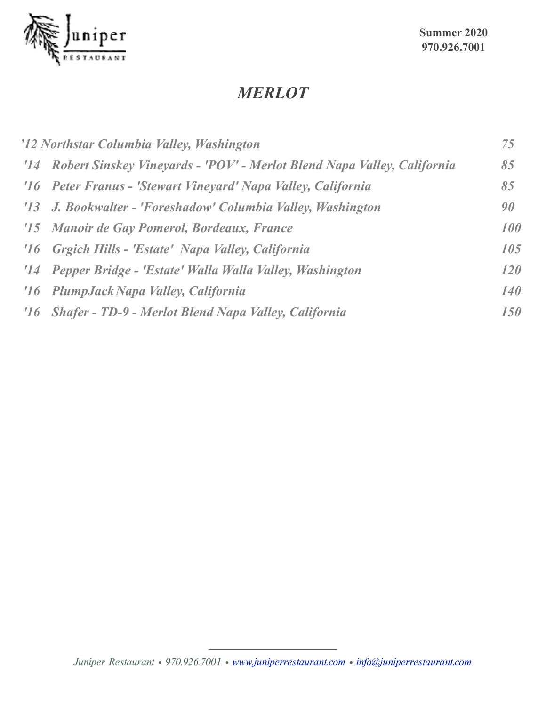

## *MERLOT*

| '12 Northstar Columbia Valley, Washington                                   | 75         |
|-----------------------------------------------------------------------------|------------|
| '14 Robert Sinskey Vineyards - 'POV' - Merlot Blend Napa Valley, California | 85         |
| '16 Peter Franus - 'Stewart Vineyard' Napa Valley, California               | 85         |
| '13 J. Bookwalter - 'Foreshadow' Columbia Valley, Washington                | 90         |
| '15 Manoir de Gay Pomerol, Bordeaux, France                                 | 100        |
| '16 Grgich Hills - 'Estate' Napa Valley, California                         | 105        |
| '14 Pepper Bridge - 'Estate' Walla Walla Valley, Washington                 | <b>120</b> |
| '16 PlumpJack Napa Valley, California                                       | <b>140</b> |
| '16 Shafer - TD-9 - Merlot Blend Napa Valley, California                    | 150        |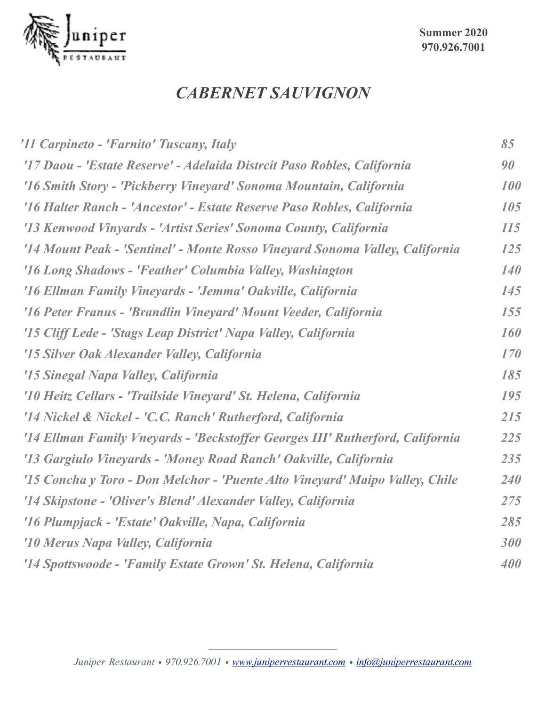

# *CABERNET SAUVIGNON*

| '11 Carpineto - 'Farnito' Tuscany, Italy                                      | 85         |
|-------------------------------------------------------------------------------|------------|
| '17 Daou - 'Estate Reserve' - Adelaida Distrcit Paso Robles, California       | 90         |
| '16 Smith Story - 'Pickberry Vineyard' Sonoma Mountain, California            | 100        |
| '16 Halter Ranch - 'Ancestor' - Estate Reserve Paso Robles, California        | 105        |
| '13 Kenwood Vinyards - 'Artist Series' Sonoma County, California              | 115        |
| '14 Mount Peak - 'Sentinel' - Monte Rosso Vineyard Sonoma Valley, California  | 125        |
| '16 Long Shadows - 'Feather' Columbia Valley, Washington                      | <b>140</b> |
| '16 Ellman Family Vineyards - 'Jemma' Oakville, California                    | 145        |
| '16 Peter Franus - 'Brandlin Vineyard' Mount Veeder, California               | 155        |
| '15 Cliff Lede - 'Stags Leap District' Napa Valley, California                | 160        |
| '15 Silver Oak Alexander Valley, California                                   | 170        |
| '15 Sinegal Napa Valley, California                                           | 185        |
| '10 Heitz Cellars - 'Trailside Vineyard' St. Helena, California               | 195        |
| '14 Nickel & Nickel - 'C.C. Ranch' Rutherford, California                     | 215        |
| '14 Ellman Family Vneyards - 'Beckstoffer Georges III' Rutherford, California | 225        |
| '13 Gargiulo Vineyards - 'Money Road Ranch' Oakville, California              | 235        |
| '15 Concha y Toro - Don Melchor - 'Puente Alto Vineyard' Maipo Valley, Chile  | 240        |
| '14 Skipstone - 'Oliver's Blend' Alexander Valley, California                 | 275        |
| '16 Plumpjack - 'Estate' Oakville, Napa, California                           | 285        |
| '10 Merus Napa Valley, California                                             | 300        |
| '14 Spottswoode - 'Family Estate Grown' St. Helena, California                | 400        |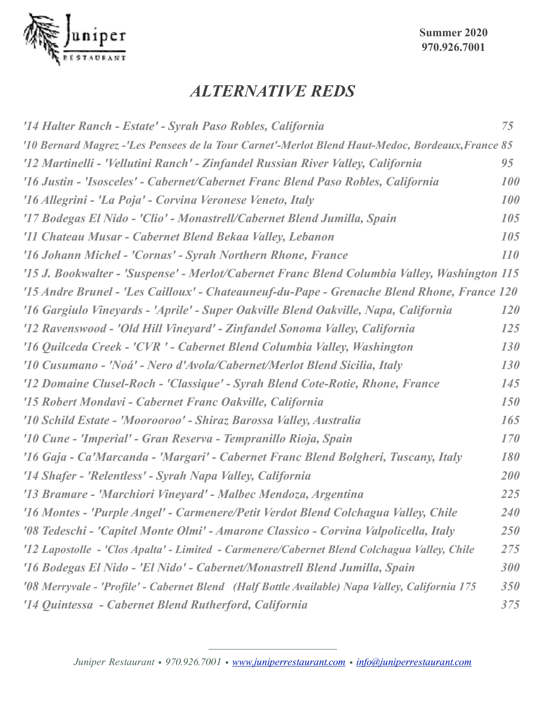

# *ALTERNATIVE REDS*

| '14 Halter Ranch - Estate' - Syrah Paso Robles, California                                       | 75         |
|--------------------------------------------------------------------------------------------------|------------|
| '10 Bernard Magrez -'Les Pensees de la Tour Carnet'-Merlot Blend Haut-Medoc, Bordeaux, France 85 |            |
| '12 Martinelli - 'Vellutini Ranch' - Zinfandel Russian River Valley, California                  | 95         |
| '16 Justin - 'Isosceles' - Cabernet/Cabernet Franc Blend Paso Robles, California                 | 100        |
| '16 Allegrini - 'La Poja' - Corvina Veronese Veneto, Italy                                       | 100        |
| '17 Bodegas El Nido - 'Clio' - Monastrell/Cabernet Blend Jumilla, Spain                          | 105        |
| '11 Chateau Musar - Cabernet Blend Bekaa Valley, Lebanon                                         | 105        |
| '16 Johann Michel - 'Cornas' - Syrah Northern Rhone, France                                      | 110        |
| '15 J. Bookwalter - 'Suspense' - Merlot/Cabernet Franc Blend Columbia Valley, Washington 115     |            |
| '15 Andre Brunel - 'Les Cailloux' - Chateauneuf-du-Pape - Grenache Blend Rhone, France 120       |            |
| '16 Gargiulo Vineyards - 'Aprile' - Super Oakville Blend Oakville, Napa, California              | <b>120</b> |
| '12 Ravenswood - 'Old Hill Vineyard' - Zinfandel Sonoma Valley, California                       | 125        |
| '16 Quilceda Creek - 'CVR ' - Cabernet Blend Columbia Valley, Washington                         | 130        |
| '10 Cusumano - 'Noá' - Nero d'Avola/Cabernet/Merlot Blend Sicilia, Italy                         | 130        |
| '12 Domaine Clusel-Roch - 'Classique' - Syrah Blend Cote-Rotie, Rhone, France                    | 145        |
| '15 Robert Mondavi - Cabernet Franc Oakville, California                                         | 150        |
| '10 Schild Estate - 'Moorooroo' - Shiraz Barossa Valley, Australia                               | 165        |
| '10 Cune - 'Imperial' - Gran Reserva - Tempranillo Rioja, Spain                                  | 170        |
| '16 Gaja - Ca'Marcanda - 'Margari' - Cabernet Franc Blend Bolgheri, Tuscany, Italy               | 180        |
| '14 Shafer - 'Relentless' - Syrah Napa Valley, California                                        | 200        |
| '13 Bramare - 'Marchiori Vineyard' - Malbec Mendoza, Argentina                                   | 225        |
| '16 Montes - 'Purple Angel' - Carmenere/Petit Verdot Blend Colchagua Valley, Chile               | <b>240</b> |
| '08 Tedeschi - 'Capitel Monte Olmi' - Amarone Classico - Corvina Valpolicella, Italy             | 250        |
| '12 Lapostolle - 'Clos Apalta' - Limited - Carmenere/Cabernet Blend Colchagua Valley, Chile      | 275        |
| '16 Bodegas El Nido - 'El Nido' - Cabernet/Monastrell Blend Jumilla, Spain                       | 300        |
| '08 Merryvale - 'Profile' - Cabernet Blend (Half Bottle Available) Napa Valley, California 175   | 350        |
| '14 Quintessa - Cabernet Blend Rutherford, California                                            | 375        |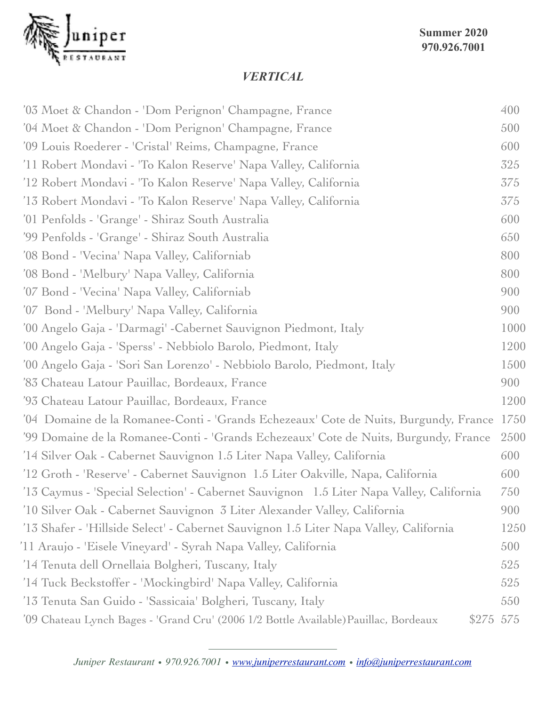

#### *VERTICAL*

| '03 Moet & Chandon - 'Dom Perignon' Champagne, France                                   | 400       |
|-----------------------------------------------------------------------------------------|-----------|
| '04 Moet & Chandon - 'Dom Perignon' Champagne, France                                   | 500       |
| '09 Louis Roederer - 'Cristal' Reims, Champagne, France                                 | 600       |
| '11 Robert Mondavi - 'To Kalon Reserve' Napa Valley, California                         | 325       |
| '12 Robert Mondavi - 'To Kalon Reserve' Napa Valley, California                         | 375       |
| '13 Robert Mondavi - 'To Kalon Reserve' Napa Valley, California                         | 375       |
| '01 Penfolds - 'Grange' - Shiraz South Australia                                        | 600       |
| '99 Penfolds - 'Grange' - Shiraz South Australia                                        | 650       |
| '08 Bond - 'Vecina' Napa Valley, Californiab                                            | 800       |
| '08 Bond - 'Melbury' Napa Valley, California                                            | 800       |
| '07 Bond - 'Vecina' Napa Valley, Californiab                                            | 900       |
| '07 Bond - 'Melbury' Napa Valley, California                                            | 900       |
| '00 Angelo Gaja - 'Darmagi' - Cabernet Sauvignon Piedmont, Italy                        | 1000      |
| '00 Angelo Gaja - 'Sperss' - Nebbiolo Barolo, Piedmont, Italy                           | 1200      |
| '00 Angelo Gaja - 'Sori San Lorenzo' - Nebbiolo Barolo, Piedmont, Italy                 | 1500      |
| '83 Chateau Latour Pauillac, Bordeaux, France                                           | 900       |
| '93 Chateau Latour Pauillac, Bordeaux, France                                           | 1200      |
| '04 Domaine de la Romanee-Conti - 'Grands Echezeaux' Cote de Nuits, Burgundy, France    | 1750      |
| '99 Domaine de la Romanee-Conti - 'Grands Echezeaux' Cote de Nuits, Burgundy, France    | 2500      |
| '14 Silver Oak - Cabernet Sauvignon 1.5 Liter Napa Valley, California                   | 600       |
| '12 Groth - 'Reserve' - Cabernet Sauvignon 1.5 Liter Oakville, Napa, California         | 600       |
| '13 Caymus - 'Special Selection' - Cabernet Sauvignon 1.5 Liter Napa Valley, California | 750       |
| '10 Silver Oak - Cabernet Sauvignon 3 Liter Alexander Valley, California                | 900       |
| '13 Shafer - 'Hillside Select' - Cabernet Sauvignon 1.5 Liter Napa Valley, California   | 1250      |
| '11 Araujo - 'Eisele Vineyard' - Syrah Napa Valley, California                          | 500       |
| '14 Tenuta dell Ornellaia Bolgheri, Tuscany, Italy                                      | 525       |
| '14 Tuck Beckstoffer - 'Mockingbird' Napa Valley, California                            | 525       |
| '13 Tenuta San Guido - 'Sassicaia' Bolgheri, Tuscany, Italy                             | 550       |
| '09 Chateau Lynch Bages - 'Grand Cru' (2006 1/2 Bottle Available) Pauillac, Bordeaux    | \$275 575 |